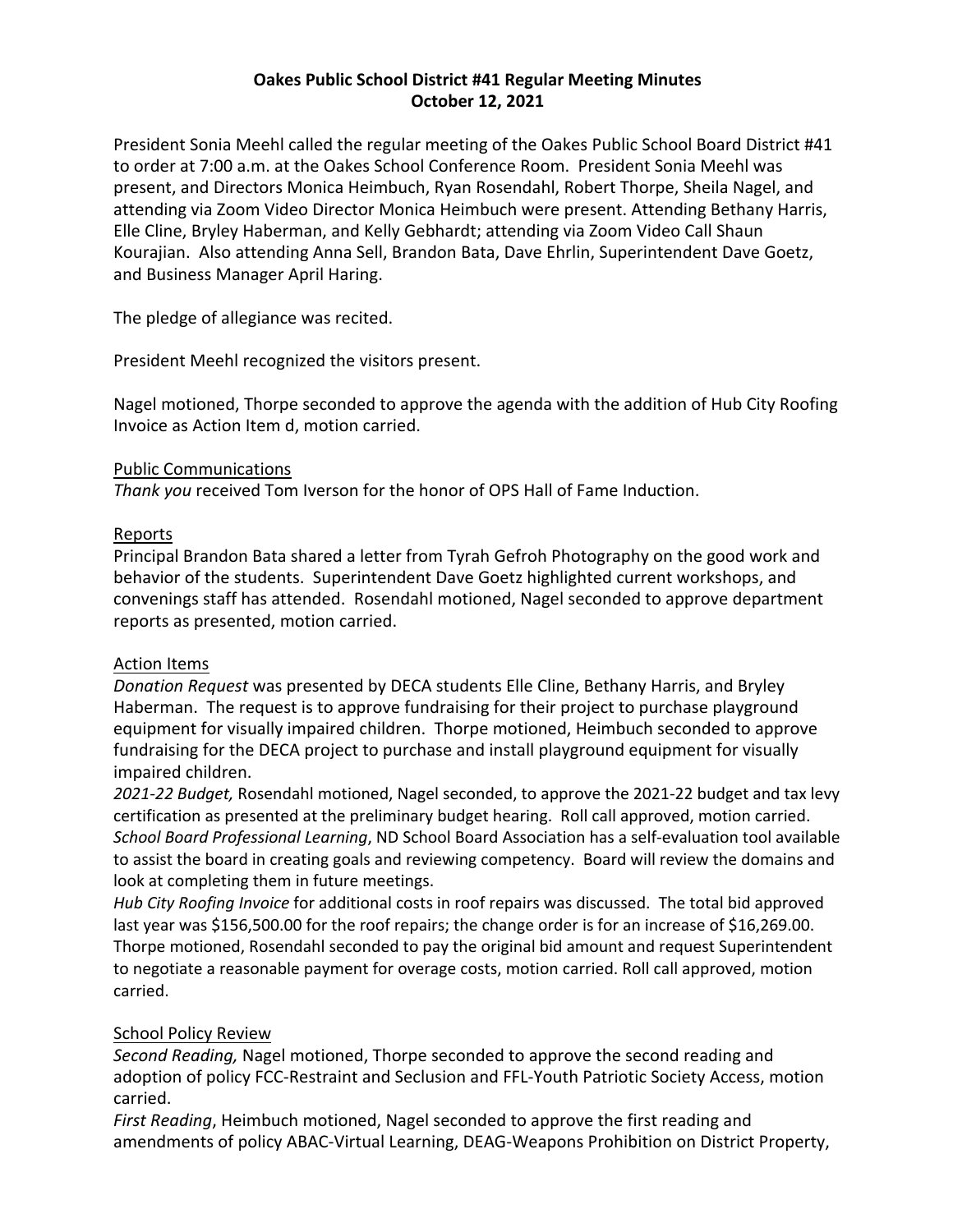## **Oakes Public School District #41 Regular Meeting Minutes October 12, 2021**

President Sonia Meehl called the regular meeting of the Oakes Public School Board District #41 to order at 7:00 a.m. at the Oakes School Conference Room. President Sonia Meehl was present, and Directors Monica Heimbuch, Ryan Rosendahl, Robert Thorpe, Sheila Nagel, and attending via Zoom Video Director Monica Heimbuch were present. Attending Bethany Harris, Elle Cline, Bryley Haberman, and Kelly Gebhardt; attending via Zoom Video Call Shaun Kourajian. Also attending Anna Sell, Brandon Bata, Dave Ehrlin, Superintendent Dave Goetz, and Business Manager April Haring.

The pledge of allegiance was recited.

President Meehl recognized the visitors present.

Nagel motioned, Thorpe seconded to approve the agenda with the addition of Hub City Roofing Invoice as Action Item d, motion carried.

## Public Communications

*Thank you* received Tom Iverson for the honor of OPS Hall of Fame Induction.

## Reports

Principal Brandon Bata shared a letter from Tyrah Gefroh Photography on the good work and behavior of the students. Superintendent Dave Goetz highlighted current workshops, and convenings staff has attended. Rosendahl motioned, Nagel seconded to approve department reports as presented, motion carried.

# Action Items

*Donation Request* was presented by DECA students Elle Cline, Bethany Harris, and Bryley Haberman. The request is to approve fundraising for their project to purchase playground equipment for visually impaired children. Thorpe motioned, Heimbuch seconded to approve fundraising for the DECA project to purchase and install playground equipment for visually impaired children.

*2021-22 Budget,* Rosendahl motioned, Nagel seconded, to approve the 2021-22 budget and tax levy certification as presented at the preliminary budget hearing. Roll call approved, motion carried. *School Board Professional Learning*, ND School Board Association has a self-evaluation tool available to assist the board in creating goals and reviewing competency. Board will review the domains and look at completing them in future meetings.

*Hub City Roofing Invoice* for additional costs in roof repairs was discussed. The total bid approved last year was \$156,500.00 for the roof repairs; the change order is for an increase of \$16,269.00. Thorpe motioned, Rosendahl seconded to pay the original bid amount and request Superintendent to negotiate a reasonable payment for overage costs, motion carried. Roll call approved, motion carried.

# School Policy Review

*Second Reading,* Nagel motioned, Thorpe seconded to approve the second reading and adoption of policy FCC-Restraint and Seclusion and FFL-Youth Patriotic Society Access, motion carried.

*First Reading*, Heimbuch motioned, Nagel seconded to approve the first reading and amendments of policy ABAC-Virtual Learning, DEAG-Weapons Prohibition on District Property,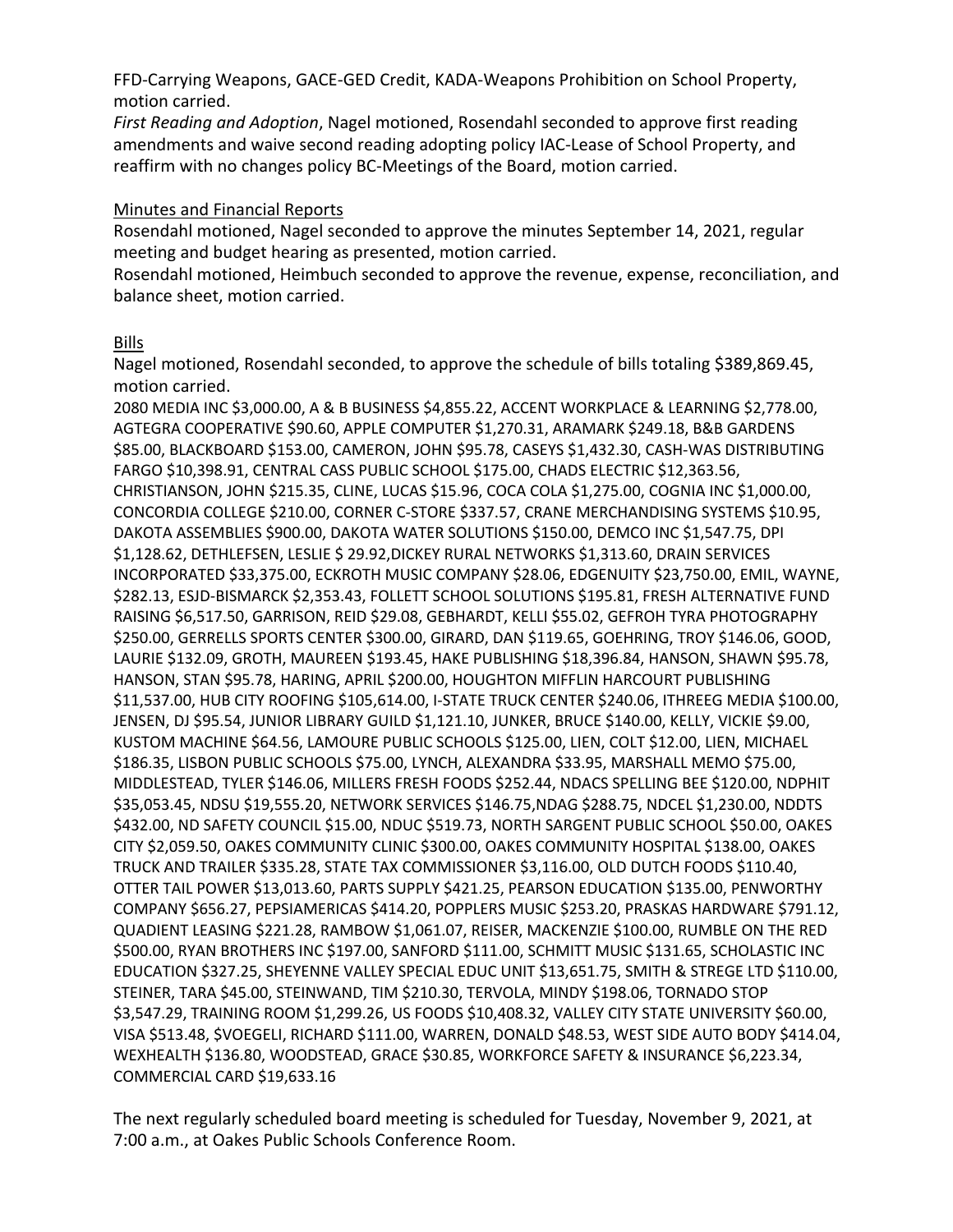FFD-Carrying Weapons, GACE-GED Credit, KADA-Weapons Prohibition on School Property, motion carried.

*First Reading and Adoption*, Nagel motioned, Rosendahl seconded to approve first reading amendments and waive second reading adopting policy IAC-Lease of School Property, and reaffirm with no changes policy BC-Meetings of the Board, motion carried.

#### Minutes and Financial Reports

Rosendahl motioned, Nagel seconded to approve the minutes September 14, 2021, regular meeting and budget hearing as presented, motion carried.

Rosendahl motioned, Heimbuch seconded to approve the revenue, expense, reconciliation, and balance sheet, motion carried.

#### Bills

Nagel motioned, Rosendahl seconded, to approve the schedule of bills totaling \$389,869.45, motion carried.

2080 MEDIA INC \$3,000.00, A & B BUSINESS \$4,855.22, ACCENT WORKPLACE & LEARNING \$2,778.00, AGTEGRA COOPERATIVE \$90.60, APPLE COMPUTER \$1,270.31, ARAMARK \$249.18, B&B GARDENS \$85.00, BLACKBOARD \$153.00, CAMERON, JOHN \$95.78, CASEYS \$1,432.30, CASH-WAS DISTRIBUTING FARGO \$10,398.91, CENTRAL CASS PUBLIC SCHOOL \$175.00, CHADS ELECTRIC \$12,363.56, CHRISTIANSON, JOHN \$215.35, CLINE, LUCAS \$15.96, COCA COLA \$1,275.00, COGNIA INC \$1,000.00, CONCORDIA COLLEGE \$210.00, CORNER C-STORE \$337.57, CRANE MERCHANDISING SYSTEMS \$10.95, DAKOTA ASSEMBLIES \$900.00, DAKOTA WATER SOLUTIONS \$150.00, DEMCO INC \$1,547.75, DPI \$1,128.62, DETHLEFSEN, LESLIE \$ 29.92,DICKEY RURAL NETWORKS \$1,313.60, DRAIN SERVICES INCORPORATED \$33,375.00, ECKROTH MUSIC COMPANY \$28.06, EDGENUITY \$23,750.00, EMIL, WAYNE, \$282.13, ESJD-BISMARCK \$2,353.43, FOLLETT SCHOOL SOLUTIONS \$195.81, FRESH ALTERNATIVE FUND RAISING \$6,517.50, GARRISON, REID \$29.08, GEBHARDT, KELLI \$55.02, GEFROH TYRA PHOTOGRAPHY \$250.00, GERRELLS SPORTS CENTER \$300.00, GIRARD, DAN \$119.65, GOEHRING, TROY \$146.06, GOOD, LAURIE \$132.09, GROTH, MAUREEN \$193.45, HAKE PUBLISHING \$18,396.84, HANSON, SHAWN \$95.78, HANSON, STAN \$95.78, HARING, APRIL \$200.00, HOUGHTON MIFFLIN HARCOURT PUBLISHING \$11,537.00, HUB CITY ROOFING \$105,614.00, I-STATE TRUCK CENTER \$240.06, ITHREEG MEDIA \$100.00, JENSEN, DJ \$95.54, JUNIOR LIBRARY GUILD \$1,121.10, JUNKER, BRUCE \$140.00, KELLY, VICKIE \$9.00, KUSTOM MACHINE \$64.56, LAMOURE PUBLIC SCHOOLS \$125.00, LIEN, COLT \$12.00, LIEN, MICHAEL \$186.35, LISBON PUBLIC SCHOOLS \$75.00, LYNCH, ALEXANDRA \$33.95, MARSHALL MEMO \$75.00, MIDDLESTEAD, TYLER \$146.06, MILLERS FRESH FOODS \$252.44, NDACS SPELLING BEE \$120.00, NDPHIT \$35,053.45, NDSU \$19,555.20, NETWORK SERVICES \$146.75,NDAG \$288.75, NDCEL \$1,230.00, NDDTS \$432.00, ND SAFETY COUNCIL \$15.00, NDUC \$519.73, NORTH SARGENT PUBLIC SCHOOL \$50.00, OAKES CITY \$2,059.50, OAKES COMMUNITY CLINIC \$300.00, OAKES COMMUNITY HOSPITAL \$138.00, OAKES TRUCK AND TRAILER \$335.28, STATE TAX COMMISSIONER \$3,116.00, OLD DUTCH FOODS \$110.40, OTTER TAIL POWER \$13,013.60, PARTS SUPPLY \$421.25, PEARSON EDUCATION \$135.00, PENWORTHY COMPANY \$656.27, PEPSIAMERICAS \$414.20, POPPLERS MUSIC \$253.20, PRASKAS HARDWARE \$791.12, QUADIENT LEASING \$221.28, RAMBOW \$1,061.07, REISER, MACKENZIE \$100.00, RUMBLE ON THE RED \$500.00, RYAN BROTHERS INC \$197.00, SANFORD \$111.00, SCHMITT MUSIC \$131.65, SCHOLASTIC INC EDUCATION \$327.25, SHEYENNE VALLEY SPECIAL EDUC UNIT \$13,651.75, SMITH & STREGE LTD \$110.00, STEINER, TARA \$45.00, STEINWAND, TIM \$210.30, TERVOLA, MINDY \$198.06, TORNADO STOP \$3,547.29, TRAINING ROOM \$1,299.26, US FOODS \$10,408.32, VALLEY CITY STATE UNIVERSITY \$60.00, VISA \$513.48, \$VOEGELI, RICHARD \$111.00, WARREN, DONALD \$48.53, WEST SIDE AUTO BODY \$414.04, WEXHEALTH \$136.80, WOODSTEAD, GRACE \$30.85, WORKFORCE SAFETY & INSURANCE \$6,223.34, COMMERCIAL CARD \$19,633.16

The next regularly scheduled board meeting is scheduled for Tuesday, November 9, 2021, at 7:00 a.m., at Oakes Public Schools Conference Room.